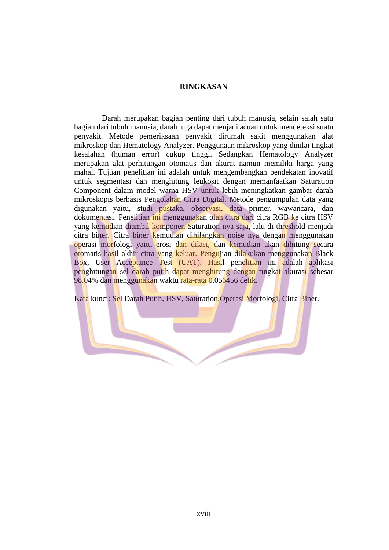## **RINGKASAN**

Darah merupakan bagian penting dari tubuh manusia, selain salah satu bagian dari tubuh manusia, darah juga dapat menjadi acuan untuk mendeteksi suatu penyakit. Metode pemeriksaan penyakit dirumah sakit menggunakan alat mikroskop dan Hematology Analyzer. Penggunaan mikroskop yang dinilai tingkat kesalahan (human error) cukup tinggi. Sedangkan Hematology Analyzer merupakan alat perhitungan otomatis dan akurat namun memiliki harga yang mahal. Tujuan penelitian ini adalah untuk mengembangkan pendekatan inovatif untuk segmentasi dan menghitung leukosit dengan memanfaatkan Saturation Component dalam model warna HSV untuk lebih meningkatkan gambar darah mikroskopis berbasis Pengolahan Citra Digital. Metode pengumpulan data yang digunakan yaitu, studi pustaka, observasi, data primer, wawancara, dan dokumentasi. Penelitian ini menggunakan olah citra dari citra RGB ke citra HSV yang kemudian diambil komponen Saturation nya saja, lalu di threshold menjadi citra biner. Citra biner kemudian dihilangkan noise nya dengan menggunakan operasi morfologi yaitu erosi dan dilasi, dan kemudian akan dihitung secara otomatis hasil akhir citra yang keluar. Pengujian dilakukan menggunakan Black Box, User Acceptance Test (UAT). Hasil penelitian ini adalah aplikasi penghitungan sel darah putih dapat menghitung dengan tingkat akurasi sebesar 98.04% dan menggunakan waktu rata-rata 0.056456 detik.

Kata kunci: Sel Darah Putih, HSV, Saturation,Operasi Morfologi, Citra Biner.